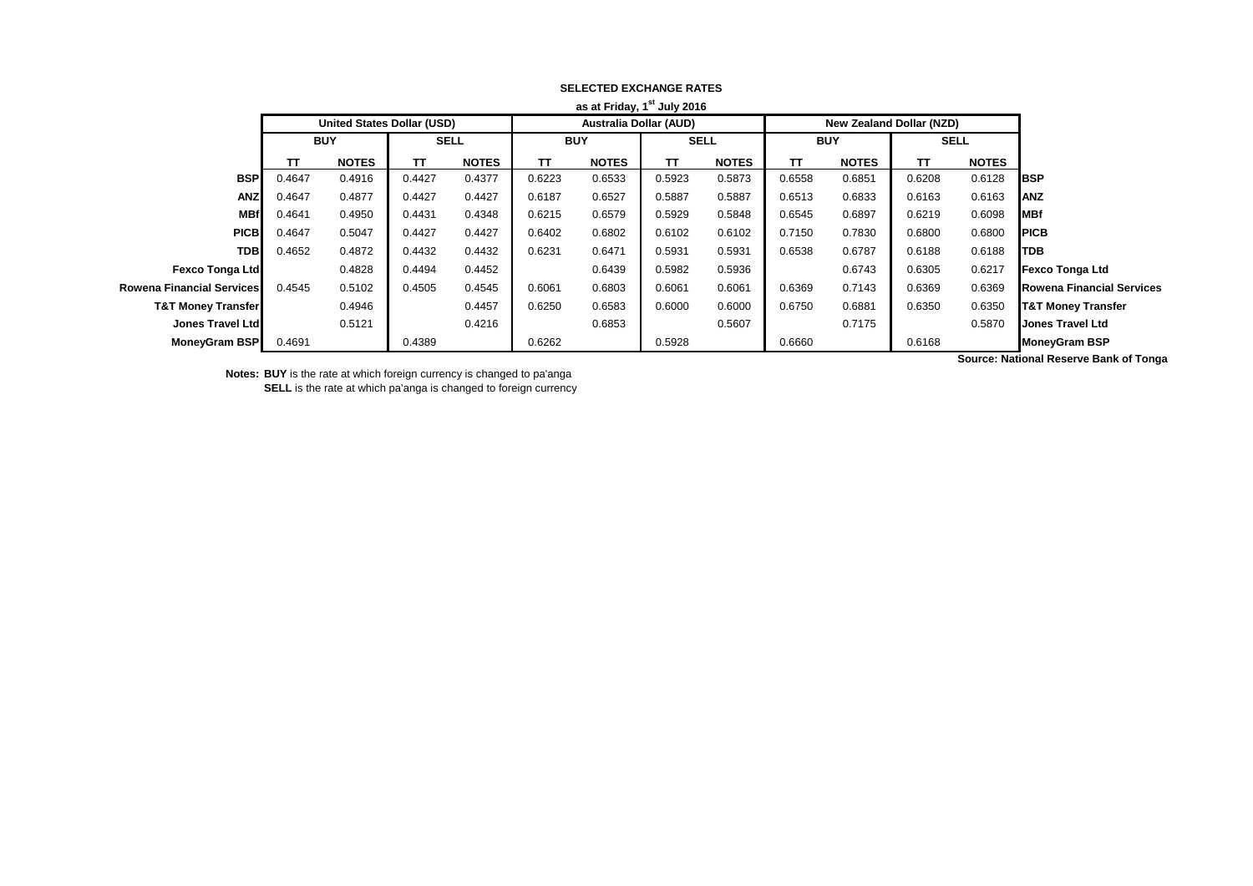| as at Friday, 1 <sup>st</sup> July 2016 |            |                                   |             |              |                               |              |             |              |            |                                 |             |              |                                  |
|-----------------------------------------|------------|-----------------------------------|-------------|--------------|-------------------------------|--------------|-------------|--------------|------------|---------------------------------|-------------|--------------|----------------------------------|
|                                         |            | <b>United States Dollar (USD)</b> |             |              | <b>Australia Dollar (AUD)</b> |              |             |              |            | <b>New Zealand Dollar (NZD)</b> |             |              |                                  |
|                                         | <b>BUY</b> |                                   | <b>SELL</b> |              | <b>BUY</b>                    |              | <b>SELL</b> |              | <b>BUY</b> |                                 | <b>SELL</b> |              |                                  |
|                                         | ΤТ         | <b>NOTES</b>                      | тτ          | <b>NOTES</b> | π                             | <b>NOTES</b> | TΤ          | <b>NOTES</b> | TΤ         | <b>NOTES</b>                    | TΤ          | <b>NOTES</b> |                                  |
| <b>BSP</b>                              | 0.4647     | 0.4916                            | 0.4427      | 0.4377       | 0.6223                        | 0.6533       | 0.5923      | 0.5873       | 0.6558     | 0.6851                          | 0.6208      | 0.6128       | <b>I</b> BSP                     |
| <b>ANZ</b>                              | 0.4647     | 0.4877                            | 0.4427      | 0.4427       | 0.6187                        | 0.6527       | 0.5887      | 0.5887       | 0.6513     | 0.6833                          | 0.6163      | 0.6163       | <b>ANZ</b>                       |
| <b>MBf</b>                              | 0.4641     | 0.4950                            | 0.4431      | 0.4348       | 0.6215                        | 0.6579       | 0.5929      | 0.5848       | 0.6545     | 0.6897                          | 0.6219      | 0.6098       | MBf                              |
| <b>PICB</b>                             | 0.4647     | 0.5047                            | 0.4427      | 0.4427       | 0.6402                        | 0.6802       | 0.6102      | 0.6102       | 0.7150     | 0.7830                          | 0.6800      | 0.6800       | <b>PICB</b>                      |
| <b>TDB</b>                              | 0.4652     | 0.4872                            | 0.4432      | 0.4432       | 0.6231                        | 0.6471       | 0.5931      | 0.5931       | 0.6538     | 0.6787                          | 0.6188      | 0.6188       | <b>TDB</b>                       |
| Fexco Tonga Ltd                         |            | 0.4828                            | 0.4494      | 0.4452       |                               | 0.6439       | 0.5982      | 0.5936       |            | 0.6743                          | 0.6305      | 0.6217       | <b>Fexco Tonga Ltd</b>           |
| <b>Rowena Financial Services</b>        | 0.4545     | 0.5102                            | 0.4505      | 0.4545       | 0.6061                        | 0.6803       | 0.6061      | 0.6061       | 0.6369     | 0.7143                          | 0.6369      | 0.6369       | <b>Rowena Financial Services</b> |
| <b>T&amp;T Money Transfer</b>           |            | 0.4946                            |             | 0.4457       | 0.6250                        | 0.6583       | 0.6000      | 0.6000       | 0.6750     | 0.6881                          | 0.6350      | 0.6350       | <b>T&amp;T Money Transfer</b>    |
| <b>Jones Travel Ltd</b>                 |            | 0.5121                            |             | 0.4216       |                               | 0.6853       |             | 0.5607       |            | 0.7175                          |             | 0.5870       | <b>Jones Travel Ltd</b>          |
| MoneyGram BSP                           | 0.4691     |                                   | 0.4389      |              | 0.6262                        |              | 0.5928      |              | 0.6660     |                                 | 0.6168      |              | <b>MoneyGram BSP</b>             |
|                                         |            |                                   |             |              |                               |              |             |              |            |                                 |             |              |                                  |

## **SELECTED EXCHANGE RATES**

**Notes: BUY** is the rate at which foreign currency is changed to pa'anga

**SELL** is the rate at which pa'anga is changed to foreign currency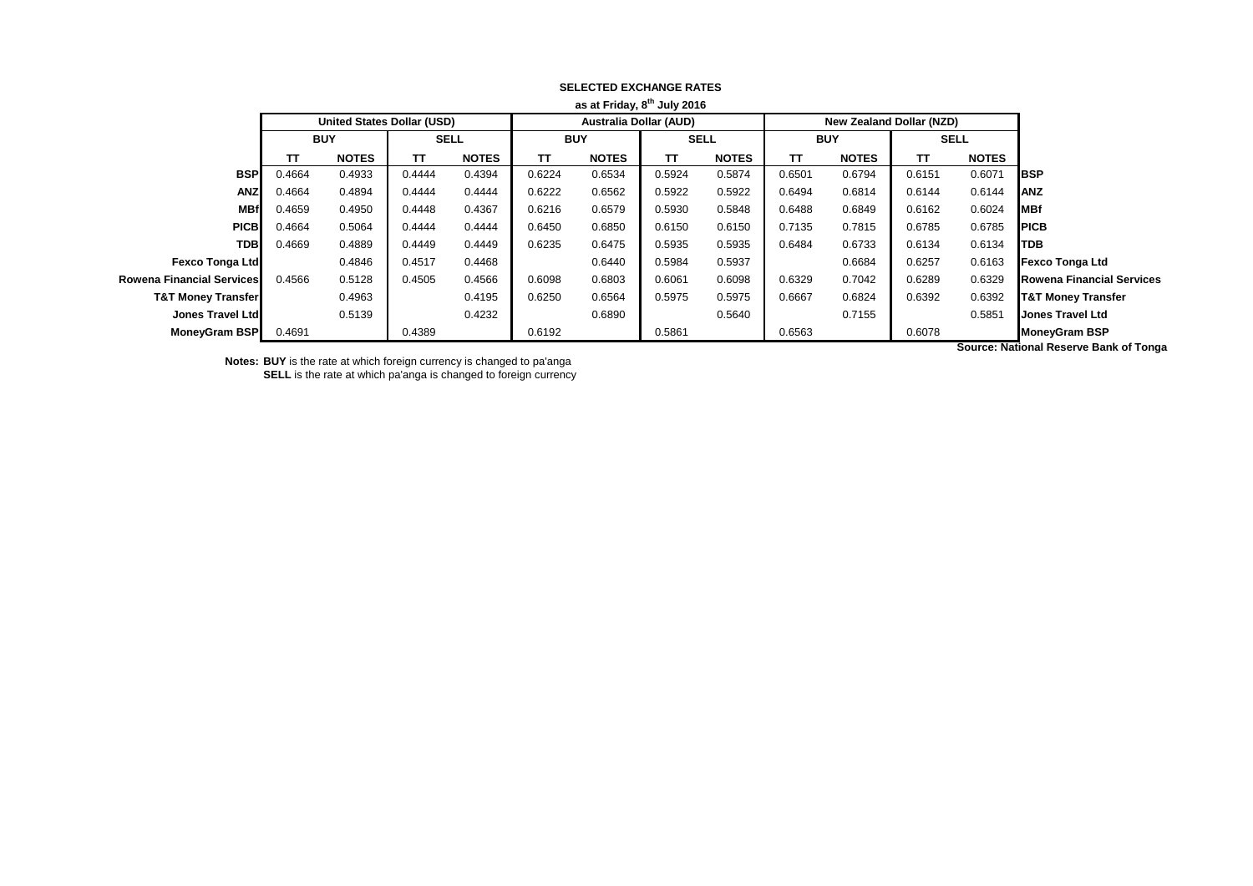|                                  |              |        |                                 |        |                               |        | as at Friday, 8" July 2016 |        |              |                                   |              |        |                               |
|----------------------------------|--------------|--------|---------------------------------|--------|-------------------------------|--------|----------------------------|--------|--------------|-----------------------------------|--------------|--------|-------------------------------|
|                                  |              |        | <b>New Zealand Dollar (NZD)</b> |        | <b>Australia Dollar (AUD)</b> |        |                            |        |              | <b>United States Dollar (USD)</b> |              |        |                               |
|                                  | <b>SELL</b>  |        | <b>BUY</b>                      |        | <b>SELL</b>                   |        | <b>BUY</b>                 |        | <b>SELL</b>  |                                   | <b>BUY</b>   |        |                               |
|                                  | <b>NOTES</b> | TΤ     | <b>NOTES</b>                    | TΤ     | <b>NOTES</b>                  | TΤ     | <b>NOTES</b>               | TΤ     | <b>NOTES</b> | TΤ                                | <b>NOTES</b> | тτ     |                               |
| <b>BSP</b>                       | 0.6071       | 0.6151 | 0.6794                          | 0.6501 | 0.5874                        | 0.5924 | 0.6534                     | 0.6224 | 0.4394       | 0.4444                            | 0.4933       | 0.4664 | <b>BSP</b>                    |
| <b>ANZ</b>                       | 0.6144       | 0.6144 | 0.6814                          | 0.6494 | 0.5922                        | 0.5922 | 0.6562                     | 0.6222 | 0.4444       | 0.4444                            | 0.4894       | 0.4664 | <b>ANZ</b>                    |
| <b>MBf</b>                       | 0.6024       | 0.6162 | 0.6849                          | 0.6488 | 0.5848                        | 0.5930 | 0.6579                     | 0.6216 | 0.4367       | 0.4448                            | 0.4950       | 0.4659 | <b>MBf</b>                    |
| <b>PICB</b>                      | 0.6785       | 0.6785 | 0.7815                          | 0.7135 | 0.6150                        | 0.6150 | 0.6850                     | 0.6450 | 0.4444       | 0.4444                            | 0.5064       | 0.4664 | <b>PICB</b>                   |
| <b>TDB</b>                       | 0.6134       | 0.6134 | 0.6733                          | 0.6484 | 0.5935                        | 0.5935 | 0.6475                     | 0.6235 | 0.4449       | 0.4449                            | 0.4889       | 0.4669 | <b>TDB</b>                    |
| <b>Fexco Tonga Ltd</b>           | 0.6163       | 0.6257 | 0.6684                          |        | 0.5937                        | 0.5984 | 0.6440                     |        | 0.4468       | 0.4517                            | 0.4846       |        | <b>Fexco Tonga Ltd</b>        |
| <b>Rowena Financial Services</b> | 0.6329       | 0.6289 | 0.7042                          | 0.6329 | 0.6098                        | 0.6061 | 0.6803                     | 0.6098 | 0.4566       | 0.4505                            | 0.5128       | 0.4566 | Rowena Financial Services I   |
| <b>T&amp;T Money Transfer</b>    | 0.6392       | 0.6392 | 0.6824                          | 0.6667 | 0.5975                        | 0.5975 | 0.6564                     | 0.6250 | 0.4195       |                                   | 0.4963       |        | <b>T&amp;T Money Transfer</b> |
| <b>Jones Travel Ltd</b>          | 0.5851       |        | 0.7155                          |        | 0.5640                        |        | 0.6890                     |        | 0.4232       |                                   | 0.5139       |        | Jones Travel Ltd              |
| <b>MoneyGram BSP</b>             |              | 0.6078 |                                 | 0.6563 |                               | 0.5861 |                            | 0.6192 |              | 0.4389                            |              | 0.4691 | <b>MoneyGram BSP</b>          |
|                                  | .            |        |                                 |        |                               |        |                            |        |              |                                   |              |        |                               |

### **SELECTED EXCHANGE RATES as at Friday, 8th July 2016**

**Notes: BUY** is the rate at which foreign currency is changed to pa'anga **SELL** is the rate at which pa'anga is changed to foreign currency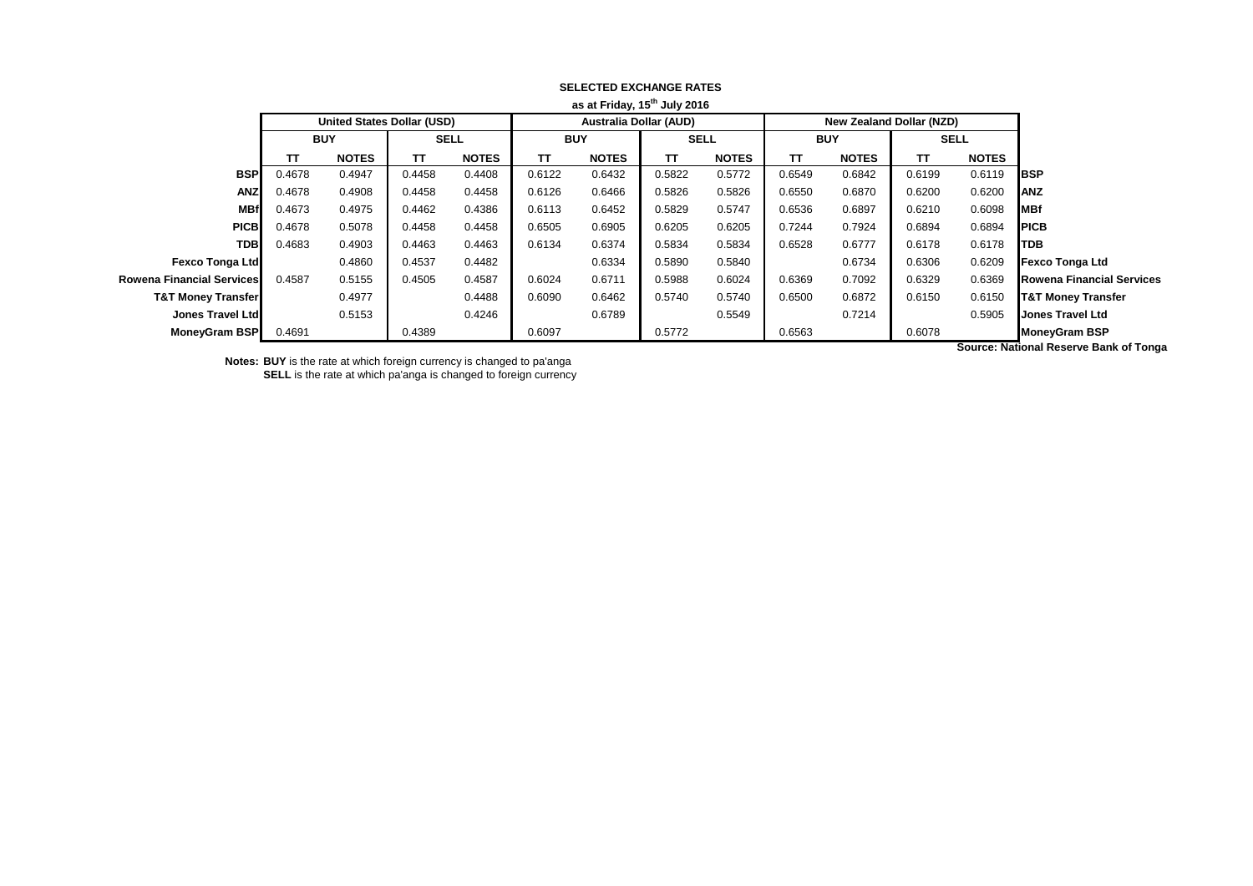|                                  |              |        |                                 |        |                               |        | as at Friday, 15" July 2016 |        |              |                                   |              |        |                               |
|----------------------------------|--------------|--------|---------------------------------|--------|-------------------------------|--------|-----------------------------|--------|--------------|-----------------------------------|--------------|--------|-------------------------------|
|                                  |              |        | <b>New Zealand Dollar (NZD)</b> |        | <b>Australia Dollar (AUD)</b> |        |                             |        |              | <b>United States Dollar (USD)</b> |              |        |                               |
|                                  | <b>SELL</b>  |        | <b>BUY</b>                      |        | <b>SELL</b>                   |        | <b>BUY</b>                  |        | <b>SELL</b>  |                                   | <b>BUY</b>   |        |                               |
|                                  | <b>NOTES</b> | TΤ     | <b>NOTES</b>                    | TΤ     | <b>NOTES</b>                  | TΤ     | <b>NOTES</b>                | TΤ     | <b>NOTES</b> | TΤ                                | <b>NOTES</b> | тτ     |                               |
| <b>BSP</b>                       | 0.6119       | 0.6199 | 0.6842                          | 0.6549 | 0.5772                        | 0.5822 | 0.6432                      | 0.6122 | 0.4408       | 0.4458                            | 0.4947       | 0.4678 | <b>BSP</b>                    |
| <b>ANZ</b>                       | 0.6200       | 0.6200 | 0.6870                          | 0.6550 | 0.5826                        | 0.5826 | 0.6466                      | 0.6126 | 0.4458       | 0.4458                            | 0.4908       | 0.4678 | <b>ANZ</b>                    |
| MBf                              | 0.6098       | 0.6210 | 0.6897                          | 0.6536 | 0.5747                        | 0.5829 | 0.6452                      | 0.6113 | 0.4386       | 0.4462                            | 0.4975       | 0.4673 | <b>MBf</b>                    |
| <b>PICB</b>                      | 0.6894       | 0.6894 | 0.7924                          | 0.7244 | 0.6205                        | 0.6205 | 0.6905                      | 0.6505 | 0.4458       | 0.4458                            | 0.5078       | 0.4678 | <b>PICB</b>                   |
| <b>TDB</b>                       | 0.6178       | 0.6178 | 0.6777                          | 0.6528 | 0.5834                        | 0.5834 | 0.6374                      | 0.6134 | 0.4463       | 0.4463                            | 0.4903       | 0.4683 | <b>TDB</b>                    |
| <b>Fexco Tonga Ltd</b>           | 0.6209       | 0.6306 | 0.6734                          |        | 0.5840                        | 0.5890 | 0.6334                      |        | 0.4482       | 0.4537                            | 0.4860       |        | <b>Fexco Tonga Ltd</b>        |
| <b>Rowena Financial Services</b> | 0.6369       | 0.6329 | 0.7092                          | 0.6369 | 0.6024                        | 0.5988 | 0.6711                      | 0.6024 | 0.4587       | 0.4505                            | 0.5155       | 0.4587 | Rowena Financial Services I   |
| <b>T&amp;T Money Transfer</b>    | 0.6150       | 0.6150 | 0.6872                          | 0.6500 | 0.5740                        | 0.5740 | 0.6462                      | 0.6090 | 0.4488       |                                   | 0.4977       |        | <b>T&amp;T Money Transfer</b> |
| <b>Jones Travel Ltd</b>          | 0.5905       |        | 0.7214                          |        | 0.5549                        |        | 0.6789                      |        | 0.4246       |                                   | 0.5153       |        | Jones Travel Ltd              |
| <b>MoneyGram BSP</b>             |              | 0.6078 |                                 | 0.6563 |                               | 0.5772 |                             | 0.6097 |              | 0.4389                            |              | 0.4691 | <b>MoneyGram BSP</b>          |
|                                  | .            |        |                                 |        |                               |        |                             |        |              |                                   |              |        |                               |

### **SELECTED EXCHANGE RATES as at Friday, 15th July 2016**

**Notes: BUY** is the rate at which foreign currency is changed to pa'anga **SELL** is the rate at which pa'anga is changed to foreign currency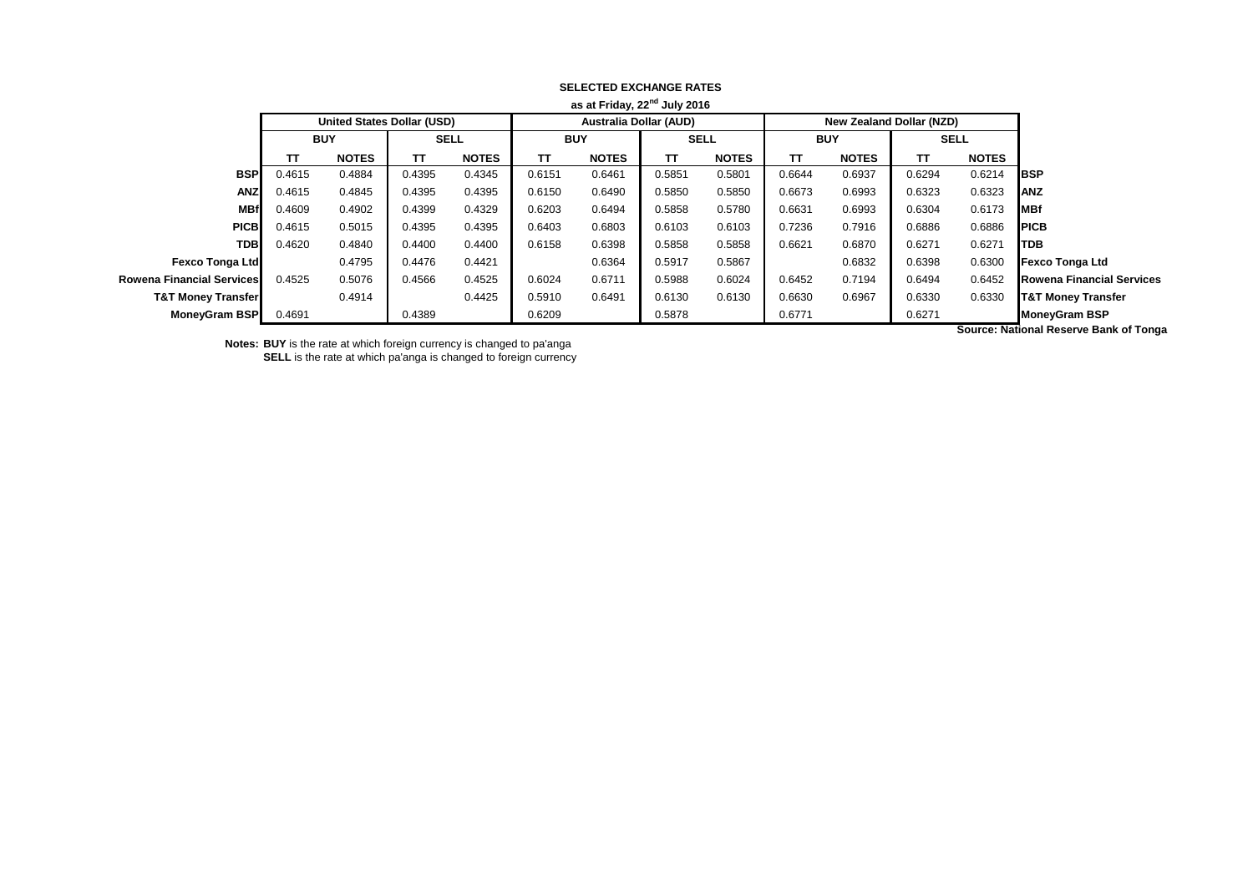| as at Friday, 22 <sup>nd</sup> July 2016 |            |                                   |             |              |            |                               |             |              |            |                                 |             |                           |                                  |
|------------------------------------------|------------|-----------------------------------|-------------|--------------|------------|-------------------------------|-------------|--------------|------------|---------------------------------|-------------|---------------------------|----------------------------------|
|                                          |            | <b>United States Dollar (USD)</b> |             |              |            | <b>Australia Dollar (AUD)</b> |             |              |            | <b>New Zealand Dollar (NZD)</b> |             |                           |                                  |
|                                          | <b>BUY</b> |                                   | <b>SELL</b> |              | <b>BUY</b> |                               | <b>SELL</b> |              | <b>BUY</b> |                                 | <b>SELL</b> |                           |                                  |
|                                          | ΤТ         | <b>NOTES</b>                      | тт          | <b>NOTES</b> | TΤ         | <b>NOTES</b>                  | TΤ          | <b>NOTES</b> | TΤ         | <b>NOTES</b>                    | TΤ          | <b>NOTES</b>              |                                  |
| <b>BSP</b>                               | 0.4615     | 0.4884                            | 0.4395      | 0.4345       | 0.6151     | 0.6461                        | 0.5851      | 0.5801       | 0.6644     | 0.6937                          | 0.6294      | 0.6214                    | <b>BSP</b>                       |
| <b>ANZ</b>                               | 0.4615     | 0.4845                            | 0.4395      | 0.4395       | 0.6150     | 0.6490                        | 0.5850      | 0.5850       | 0.6673     | 0.6993                          | 0.6323      | 0.6323                    | <b>ANZ</b>                       |
| <b>MBf</b>                               | 0.4609     | 0.4902                            | 0.4399      | 0.4329       | 0.6203     | 0.6494                        | 0.5858      | 0.5780       | 0.6631     | 0.6993                          | 0.6304      | 0.6173                    | MBf                              |
| <b>PICB</b>                              | 0.4615     | 0.5015                            | 0.4395      | 0.4395       | 0.6403     | 0.6803                        | 0.6103      | 0.6103       | 0.7236     | 0.7916                          | 0.6886      | 0.6886                    | <b>PICB</b>                      |
| <b>TDB</b>                               | 0.4620     | 0.4840                            | 0.4400      | 0.4400       | 0.6158     | 0.6398                        | 0.5858      | 0.5858       | 0.6621     | 0.6870                          | 0.6271      | 0.6271                    | <b>TDB</b>                       |
| <b>Fexco Tonga Ltd</b>                   |            | 0.4795                            | 0.4476      | 0.4421       |            | 0.6364                        | 0.5917      | 0.5867       |            | 0.6832                          | 0.6398      | 0.6300                    | <b>Fexco Tonga Ltd</b>           |
| Rowena Financial Services I              | 0.4525     | 0.5076                            | 0.4566      | 0.4525       | 0.6024     | 0.6711                        | 0.5988      | 0.6024       | 0.6452     | 0.7194                          | 0.6494      | 0.6452                    | <b>Rowena Financial Services</b> |
| <b>T&amp;T Money Transfer</b>            |            | 0.4914                            |             | 0.4425       | 0.5910     | 0.6491                        | 0.6130      | 0.6130       | 0.6630     | 0.6967                          | 0.6330      | 0.6330                    | <b>T&amp;T Money Transfer</b>    |
| <b>MoneyGram BSP</b>                     | 0.4691     |                                   | 0.4389      |              | 0.6209     |                               | 0.5878      |              | 0.6771     |                                 | 0.6271      |                           | <b>MoneyGram BSP</b>             |
|                                          |            |                                   |             |              |            |                               |             |              |            |                                 |             | .<br>$\sim$ $\sim$ $\sim$ |                                  |

## **SELECTED EXCHANGE RATES**

**Notes: BUY** is the rate at which foreign currency is changed to pa'anga

**SELL** is the rate at which pa'anga is changed to foreign currency